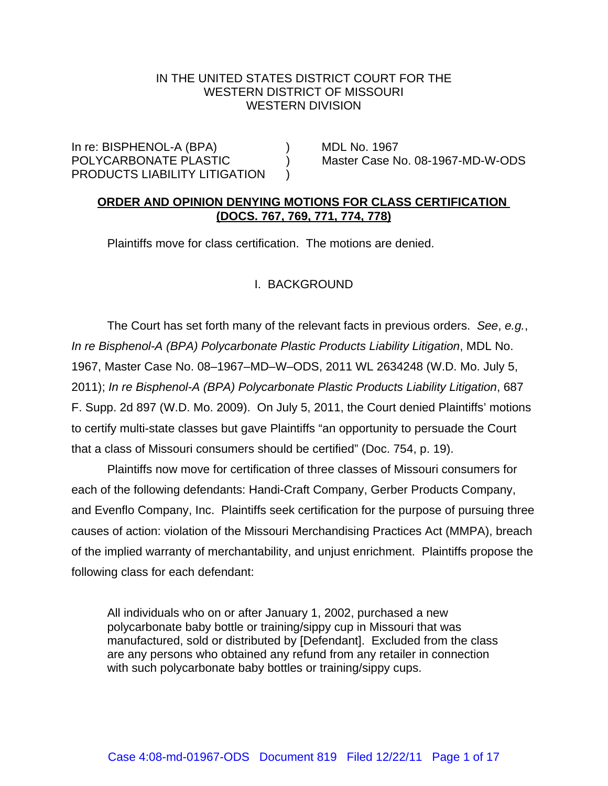### IN THE UNITED STATES DISTRICT COURT FOR THE WESTERN DISTRICT OF MISSOURI WESTERN DIVISION

In re: BISPHENOL-A (BPA) (BRA) POLYCARBONATE PLASTIC ) Master Case No. 08-1967-MD-W-ODS PRODUCTS LIABILITY LITIGATION

## **ORDER AND OPINION DENYING MOTIONS FOR CLASS CERTIFICATION (DOCS. 767, 769, 771, 774, 778)**

Plaintiffs move for class certification. The motions are denied.

# I. BACKGROUND

The Court has set forth many of the relevant facts in previous orders. *See*, *e.g.*, *In re Bisphenol-A (BPA) Polycarbonate Plastic Products Liability Litigation*, MDL No. 1967, Master Case No. 08–1967–MD–W–ODS, 2011 WL 2634248 (W.D. Mo. July 5, 2011); *In re Bisphenol-A (BPA) Polycarbonate Plastic Products Liability Litigation*, 687 F. Supp. 2d 897 (W.D. Mo. 2009). On July 5, 2011, the Court denied Plaintiffs' motions to certify multi-state classes but gave Plaintiffs "an opportunity to persuade the Court that a class of Missouri consumers should be certified" (Doc. 754, p. 19).

Plaintiffs now move for certification of three classes of Missouri consumers for each of the following defendants: Handi-Craft Company, Gerber Products Company, and Evenflo Company, Inc. Plaintiffs seek certification for the purpose of pursuing three causes of action: violation of the Missouri Merchandising Practices Act (MMPA), breach of the implied warranty of merchantability, and unjust enrichment. Plaintiffs propose the following class for each defendant:

All individuals who on or after January 1, 2002, purchased a new polycarbonate baby bottle or training/sippy cup in Missouri that was manufactured, sold or distributed by [Defendant]. Excluded from the class are any persons who obtained any refund from any retailer in connection with such polycarbonate baby bottles or training/sippy cups.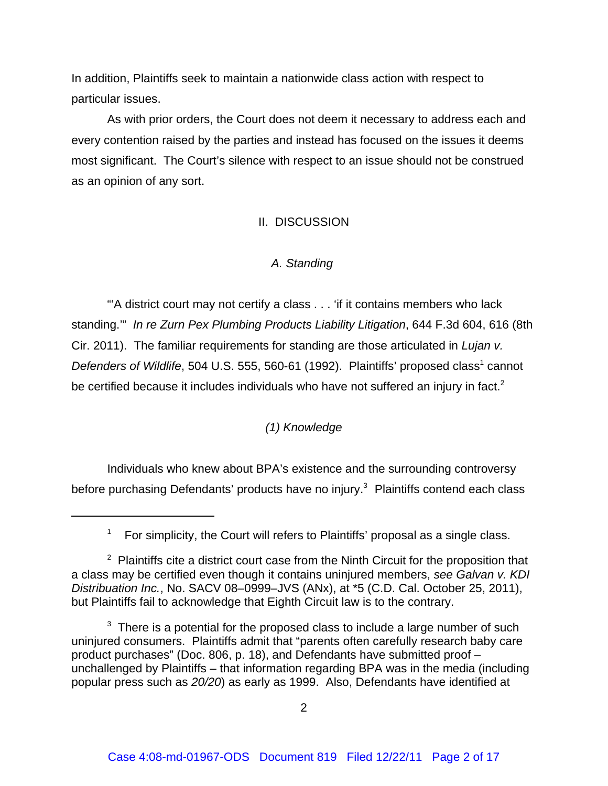In addition, Plaintiffs seek to maintain a nationwide class action with respect to particular issues.

As with prior orders, the Court does not deem it necessary to address each and every contention raised by the parties and instead has focused on the issues it deems most significant. The Court's silence with respect to an issue should not be construed as an opinion of any sort.

# II. DISCUSSION

# *A. Standing*

 "'A district court may not certify a class . . . 'if it contains members who lack standing.'" *In re Zurn Pex Plumbing Products Liability Litigation*, 644 F.3d 604, 616 (8th Cir. 2011). The familiar requirements for standing are those articulated in *Lujan v.* Defenders of Wildlife, 504 U.S. 555, 560-61 (1992). Plaintiffs' proposed class<sup>1</sup> cannot be certified because it includes individuals who have not suffered an injury in fact.<sup>2</sup>

# *(1) Knowledge*

Individuals who knew about BPA's existence and the surrounding controversy before purchasing Defendants' products have no injury.<sup>3</sup> Plaintiffs contend each class

<sup>&</sup>lt;sup>1</sup> For simplicity, the Court will refers to Plaintiffs' proposal as a single class.

 $2$  Plaintiffs cite a district court case from the Ninth Circuit for the proposition that a class may be certified even though it contains uninjured members, *see Galvan v. KDI Distribuation Inc.*, No. SACV 08–0999–JVS (ANx), at \*5 (C.D. Cal. October 25, 2011), but Plaintiffs fail to acknowledge that Eighth Circuit law is to the contrary.

 $3$  There is a potential for the proposed class to include a large number of such uninjured consumers. Plaintiffs admit that "parents often carefully research baby care product purchases" (Doc. 806, p. 18), and Defendants have submitted proof – unchallenged by Plaintiffs – that information regarding BPA was in the media (including popular press such as *20/20*) as early as 1999. Also, Defendants have identified at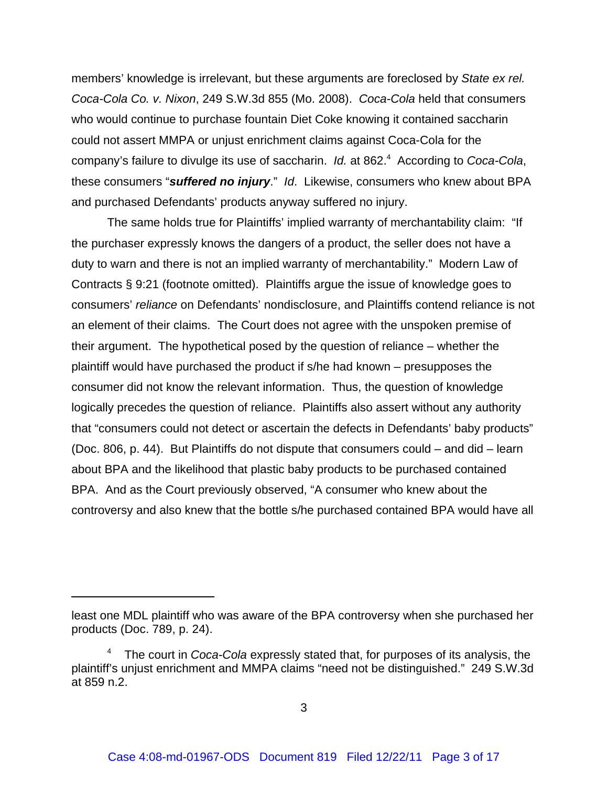members' knowledge is irrelevant, but these arguments are foreclosed by *State ex rel. Coca-Cola Co. v. Nixon*, 249 S.W.3d 855 (Mo. 2008). *Coca-Cola* held that consumers who would continue to purchase fountain Diet Coke knowing it contained saccharin could not assert MMPA or unjust enrichment claims against Coca-Cola for the company's failure to divulge its use of saccharin. *Id.* at 862.4 According to *Coca-Cola*, these consumers "*suffered no injury*." *Id*. Likewise, consumers who knew about BPA and purchased Defendants' products anyway suffered no injury.

The same holds true for Plaintiffs' implied warranty of merchantability claim: "If the purchaser expressly knows the dangers of a product, the seller does not have a duty to warn and there is not an implied warranty of merchantability." Modern Law of Contracts § 9:21 (footnote omitted). Plaintiffs argue the issue of knowledge goes to consumers' *reliance* on Defendants' nondisclosure, and Plaintiffs contend reliance is not an element of their claims. The Court does not agree with the unspoken premise of their argument. The hypothetical posed by the question of reliance – whether the plaintiff would have purchased the product if s/he had known – presupposes the consumer did not know the relevant information. Thus, the question of knowledge logically precedes the question of reliance. Plaintiffs also assert without any authority that "consumers could not detect or ascertain the defects in Defendants' baby products" (Doc. 806, p. 44). But Plaintiffs do not dispute that consumers could – and did – learn about BPA and the likelihood that plastic baby products to be purchased contained BPA. And as the Court previously observed, "A consumer who knew about the controversy and also knew that the bottle s/he purchased contained BPA would have all

least one MDL plaintiff who was aware of the BPA controversy when she purchased her products (Doc. 789, p. 24).

<sup>4</sup> The court in *Coca-Cola* expressly stated that, for purposes of its analysis, the plaintiff's unjust enrichment and MMPA claims "need not be distinguished." 249 S.W.3d at 859 n.2.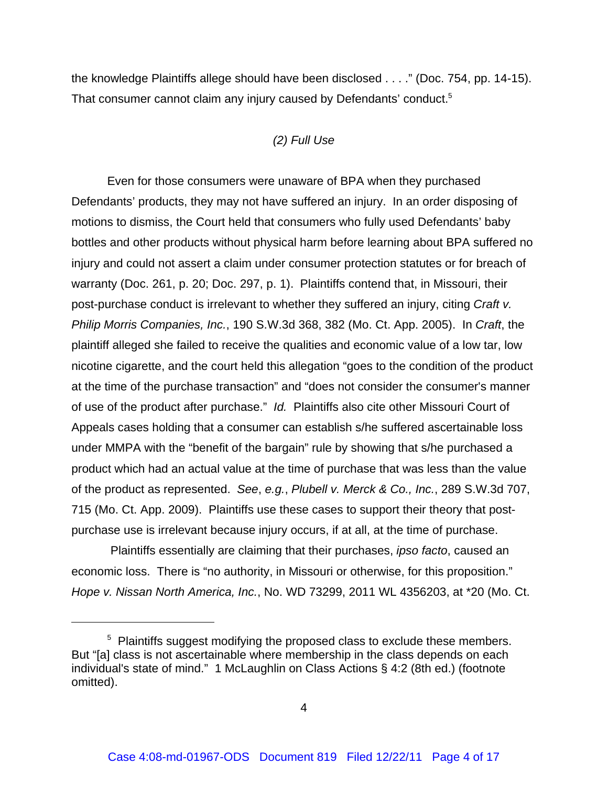the knowledge Plaintiffs allege should have been disclosed . . . ." (Doc. 754, pp. 14-15). That consumer cannot claim any injury caused by Defendants' conduct.<sup>5</sup>

# *(2) Full Use*

Even for those consumers were unaware of BPA when they purchased Defendants' products, they may not have suffered an injury. In an order disposing of motions to dismiss, the Court held that consumers who fully used Defendants' baby bottles and other products without physical harm before learning about BPA suffered no injury and could not assert a claim under consumer protection statutes or for breach of warranty (Doc. 261, p. 20; Doc. 297, p. 1). Plaintiffs contend that, in Missouri, their post-purchase conduct is irrelevant to whether they suffered an injury, citing *Craft v. Philip Morris Companies, Inc.*, 190 S.W.3d 368, 382 (Mo. Ct. App. 2005). In *Craft*, the plaintiff alleged she failed to receive the qualities and economic value of a low tar, low nicotine cigarette, and the court held this allegation "goes to the condition of the product at the time of the purchase transaction" and "does not consider the consumer's manner of use of the product after purchase." *Id.* Plaintiffs also cite other Missouri Court of Appeals cases holding that a consumer can establish s/he suffered ascertainable loss under MMPA with the "benefit of the bargain" rule by showing that s/he purchased a product which had an actual value at the time of purchase that was less than the value of the product as represented. *See*, *e.g.*, *Plubell v. Merck & Co., Inc.*, 289 S.W.3d 707, 715 (Mo. Ct. App. 2009). Plaintiffs use these cases to support their theory that postpurchase use is irrelevant because injury occurs, if at all, at the time of purchase.

 Plaintiffs essentially are claiming that their purchases, *ipso facto*, caused an economic loss. There is "no authority, in Missouri or otherwise, for this proposition." *Hope v. Nissan North America, Inc.*, No. WD 73299, 2011 WL 4356203, at \*20 (Mo. Ct.

<sup>&</sup>lt;sup>5</sup> Plaintiffs suggest modifying the proposed class to exclude these members. But "[a] class is not ascertainable where membership in the class depends on each individual's state of mind." 1 McLaughlin on Class Actions § 4:2 (8th ed.) (footnote omitted).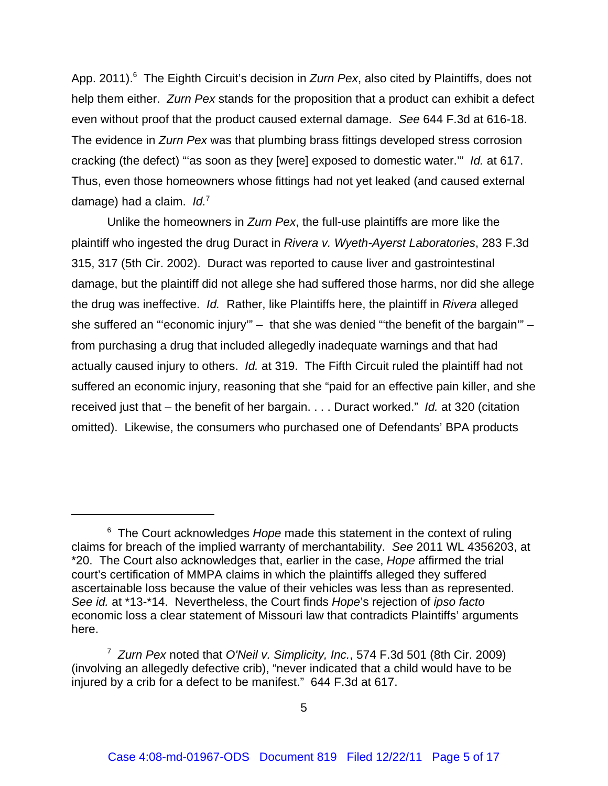App. 2011).<sup>6</sup> The Eighth Circuit's decision in *Zurn Pex*, also cited by Plaintiffs, does not help them either. *Zurn Pex* stands for the proposition that a product can exhibit a defect even without proof that the product caused external damage. *See* 644 F.3d at 616-18. The evidence in *Zurn Pex* was that plumbing brass fittings developed stress corrosion cracking (the defect) "'as soon as they [were] exposed to domestic water.'" *Id.* at 617. Thus, even those homeowners whose fittings had not yet leaked (and caused external damage) had a claim. *Id.*<sup>7</sup>

Unlike the homeowners in *Zurn Pex*, the full-use plaintiffs are more like the plaintiff who ingested the drug Duract in *Rivera v. Wyeth-Ayerst Laboratories*, 283 F.3d 315, 317 (5th Cir. 2002). Duract was reported to cause liver and gastrointestinal damage, but the plaintiff did not allege she had suffered those harms, nor did she allege the drug was ineffective. *Id.* Rather, like Plaintiffs here, the plaintiff in *Rivera* alleged she suffered an "economic injury" – that she was denied "the benefit of the bargain" – from purchasing a drug that included allegedly inadequate warnings and that had actually caused injury to others. *Id.* at 319. The Fifth Circuit ruled the plaintiff had not suffered an economic injury, reasoning that she "paid for an effective pain killer, and she received just that – the benefit of her bargain. . . . Duract worked." *Id.* at 320 (citation omitted). Likewise, the consumers who purchased one of Defendants' BPA products

<sup>&</sup>lt;sup>6</sup> The Court acknowledges Hope made this statement in the context of ruling claims for breach of the implied warranty of merchantability. *See* 2011 WL 4356203, at \*20. The Court also acknowledges that, earlier in the case, *Hope* affirmed the trial court's certification of MMPA claims in which the plaintiffs alleged they suffered ascertainable loss because the value of their vehicles was less than as represented. *See id.* at \*13-\*14. Nevertheless, the Court finds *Hope*'s rejection of *ipso facto* economic loss a clear statement of Missouri law that contradicts Plaintiffs' arguments here.

<sup>7</sup> *Zurn Pex* noted that *O'Neil v. Simplicity, Inc.*, 574 F.3d 501 (8th Cir. 2009) (involving an allegedly defective crib), "never indicated that a child would have to be injured by a crib for a defect to be manifest." 644 F.3d at 617.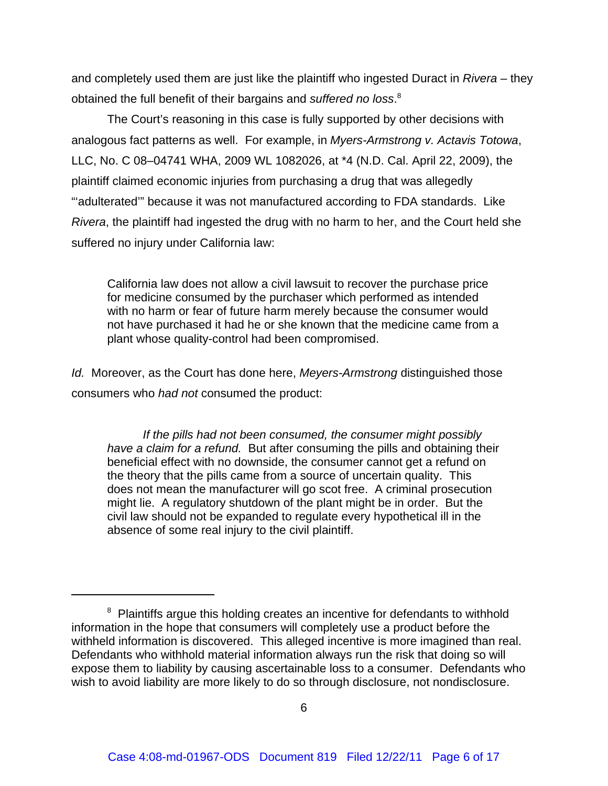and completely used them are just like the plaintiff who ingested Duract in *Rivera* – they obtained the full benefit of their bargains and *suffered no loss*. 8

The Court's reasoning in this case is fully supported by other decisions with analogous fact patterns as well. For example, in *Myers-Armstrong v. Actavis Totowa*, LLC, No. C 08–04741 WHA, 2009 WL 1082026, at \*4 (N.D. Cal. April 22, 2009), the plaintiff claimed economic injuries from purchasing a drug that was allegedly "'adulterated'" because it was not manufactured according to FDA standards. Like *Rivera*, the plaintiff had ingested the drug with no harm to her, and the Court held she suffered no injury under California law:

California law does not allow a civil lawsuit to recover the purchase price for medicine consumed by the purchaser which performed as intended with no harm or fear of future harm merely because the consumer would not have purchased it had he or she known that the medicine came from a plant whose quality-control had been compromised.

*Id.* Moreover, as the Court has done here, *Meyers-Armstrong* distinguished those consumers who *had not* consumed the product:

*If the pills had not been consumed, the consumer might possibly have a claim for a refund.* But after consuming the pills and obtaining their beneficial effect with no downside, the consumer cannot get a refund on the theory that the pills came from a source of uncertain quality. This does not mean the manufacturer will go scot free. A criminal prosecution might lie. A regulatory shutdown of the plant might be in order. But the civil law should not be expanded to regulate every hypothetical ill in the absence of some real injury to the civil plaintiff.

<sup>&</sup>lt;sup>8</sup> Plaintiffs argue this holding creates an incentive for defendants to withhold information in the hope that consumers will completely use a product before the withheld information is discovered. This alleged incentive is more imagined than real. Defendants who withhold material information always run the risk that doing so will expose them to liability by causing ascertainable loss to a consumer. Defendants who wish to avoid liability are more likely to do so through disclosure, not nondisclosure.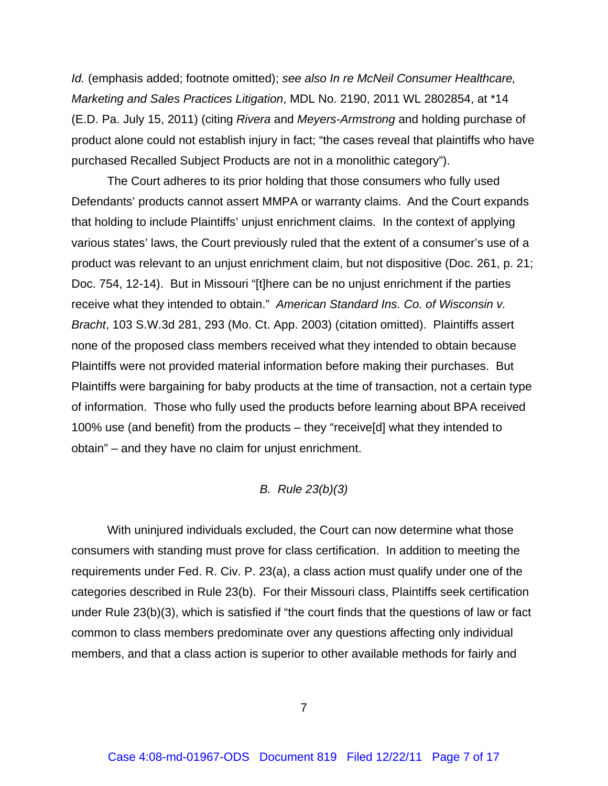*Id.* (emphasis added; footnote omitted); *see also In re McNeil Consumer Healthcare, Marketing and Sales Practices Litigation*, MDL No. 2190, 2011 WL 2802854, at \*14 (E.D. Pa. July 15, 2011) (citing *Rivera* and *Meyers-Armstrong* and holding purchase of product alone could not establish injury in fact; "the cases reveal that plaintiffs who have purchased Recalled Subject Products are not in a monolithic category").

The Court adheres to its prior holding that those consumers who fully used Defendants' products cannot assert MMPA or warranty claims. And the Court expands that holding to include Plaintiffs' unjust enrichment claims. In the context of applying various states' laws, the Court previously ruled that the extent of a consumer's use of a product was relevant to an unjust enrichment claim, but not dispositive (Doc. 261, p. 21; Doc. 754, 12-14). But in Missouri "[t]here can be no unjust enrichment if the parties receive what they intended to obtain." *American Standard Ins. Co. of Wisconsin v. Bracht*, 103 S.W.3d 281, 293 (Mo. Ct. App. 2003) (citation omitted). Plaintiffs assert none of the proposed class members received what they intended to obtain because Plaintiffs were not provided material information before making their purchases. But Plaintiffs were bargaining for baby products at the time of transaction, not a certain type of information. Those who fully used the products before learning about BPA received 100% use (and benefit) from the products – they "receive[d] what they intended to obtain" – and they have no claim for unjust enrichment.

### *B. Rule 23(b)(3)*

With uninjured individuals excluded, the Court can now determine what those consumers with standing must prove for class certification. In addition to meeting the requirements under Fed. R. Civ. P. 23(a), a class action must qualify under one of the categories described in Rule 23(b). For their Missouri class, Plaintiffs seek certification under Rule 23(b)(3), which is satisfied if "the court finds that the questions of law or fact common to class members predominate over any questions affecting only individual members, and that a class action is superior to other available methods for fairly and

7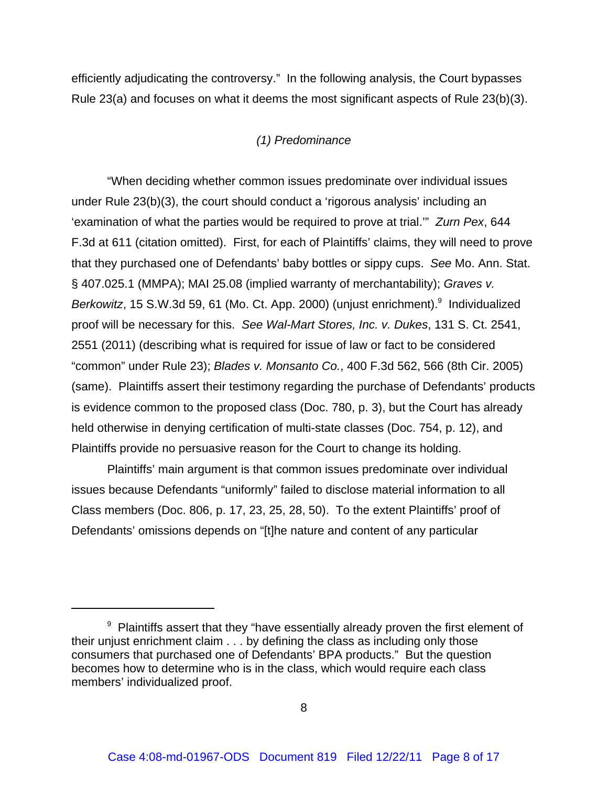efficiently adjudicating the controversy." In the following analysis, the Court bypasses Rule 23(a) and focuses on what it deems the most significant aspects of Rule 23(b)(3).

### *(1) Predominance*

"When deciding whether common issues predominate over individual issues under Rule 23(b)(3), the court should conduct a 'rigorous analysis' including an 'examination of what the parties would be required to prove at trial.'" *Zurn Pex*, 644 F.3d at 611 (citation omitted). First, for each of Plaintiffs' claims, they will need to prove that they purchased one of Defendants' baby bottles or sippy cups. *See* Mo. Ann. Stat. § 407.025.1 (MMPA); MAI 25.08 (implied warranty of merchantability); *Graves v.* Berkowitz, 15 S.W.3d 59, 61 (Mo. Ct. App. 2000) (unjust enrichment).<sup>9</sup> Individualized proof will be necessary for this. *See Wal-Mart Stores, Inc. v. Dukes*, 131 S. Ct. 2541, 2551 (2011) (describing what is required for issue of law or fact to be considered "common" under Rule 23); *Blades v. Monsanto Co.*, 400 F.3d 562, 566 (8th Cir. 2005) (same). Plaintiffs assert their testimony regarding the purchase of Defendants' products is evidence common to the proposed class (Doc. 780, p. 3), but the Court has already held otherwise in denying certification of multi-state classes (Doc. 754, p. 12), and Plaintiffs provide no persuasive reason for the Court to change its holding.

Plaintiffs' main argument is that common issues predominate over individual issues because Defendants "uniformly" failed to disclose material information to all Class members (Doc. 806, p. 17, 23, 25, 28, 50). To the extent Plaintiffs' proof of Defendants' omissions depends on "[t]he nature and content of any particular

 $9$  Plaintiffs assert that they "have essentially already proven the first element of their unjust enrichment claim . . . by defining the class as including only those consumers that purchased one of Defendants' BPA products." But the question becomes how to determine who is in the class, which would require each class members' individualized proof.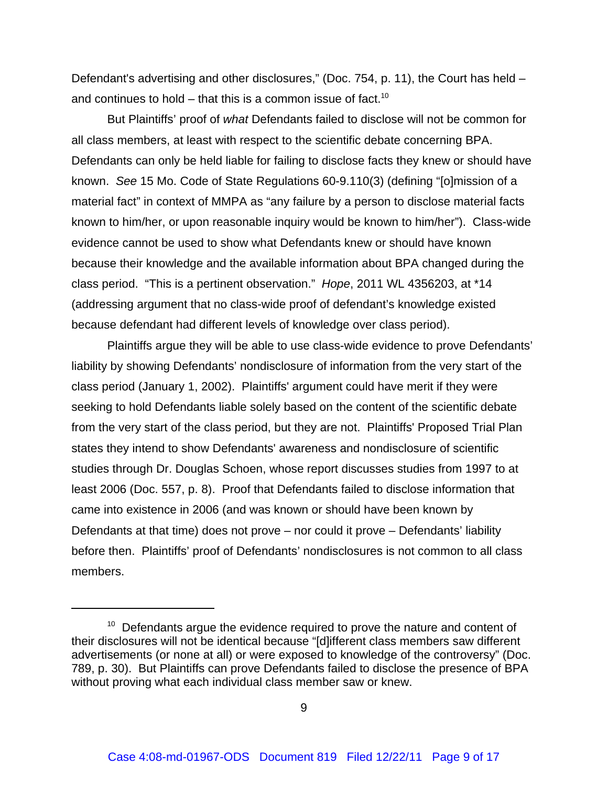Defendant's advertising and other disclosures," (Doc. 754, p. 11), the Court has held – and continues to hold – that this is a common issue of fact.<sup>10</sup>

But Plaintiffs' proof of *what* Defendants failed to disclose will not be common for all class members, at least with respect to the scientific debate concerning BPA. Defendants can only be held liable for failing to disclose facts they knew or should have known. *See* 15 Mo. Code of State Regulations 60-9.110(3) (defining "[o]mission of a material fact" in context of MMPA as "any failure by a person to disclose material facts known to him/her, or upon reasonable inquiry would be known to him/her"). Class-wide evidence cannot be used to show what Defendants knew or should have known because their knowledge and the available information about BPA changed during the class period. "This is a pertinent observation." *Hope*, 2011 WL 4356203, at \*14 (addressing argument that no class-wide proof of defendant's knowledge existed because defendant had different levels of knowledge over class period).

Plaintiffs argue they will be able to use class-wide evidence to prove Defendants' liability by showing Defendants' nondisclosure of information from the very start of the class period (January 1, 2002). Plaintiffs' argument could have merit if they were seeking to hold Defendants liable solely based on the content of the scientific debate from the very start of the class period, but they are not. Plaintiffs' Proposed Trial Plan states they intend to show Defendants' awareness and nondisclosure of scientific studies through Dr. Douglas Schoen, whose report discusses studies from 1997 to at least 2006 (Doc. 557, p. 8). Proof that Defendants failed to disclose information that came into existence in 2006 (and was known or should have been known by Defendants at that time) does not prove – nor could it prove – Defendants' liability before then. Plaintiffs' proof of Defendants' nondisclosures is not common to all class members.

 $10<sup>10</sup>$  Defendants argue the evidence required to prove the nature and content of their disclosures will not be identical because "[d]ifferent class members saw different advertisements (or none at all) or were exposed to knowledge of the controversy" (Doc. 789, p. 30). But Plaintiffs can prove Defendants failed to disclose the presence of BPA without proving what each individual class member saw or knew.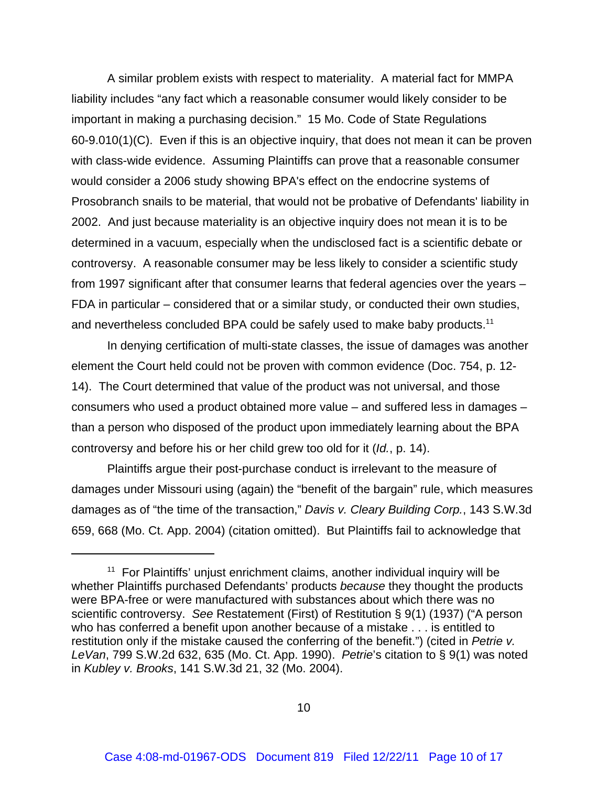A similar problem exists with respect to materiality. A material fact for MMPA liability includes "any fact which a reasonable consumer would likely consider to be important in making a purchasing decision." 15 Mo. Code of State Regulations 60-9.010(1)(C). Even if this is an objective inquiry, that does not mean it can be proven with class-wide evidence. Assuming Plaintiffs can prove that a reasonable consumer would consider a 2006 study showing BPA's effect on the endocrine systems of Prosobranch snails to be material, that would not be probative of Defendants' liability in 2002. And just because materiality is an objective inquiry does not mean it is to be determined in a vacuum, especially when the undisclosed fact is a scientific debate or controversy. A reasonable consumer may be less likely to consider a scientific study from 1997 significant after that consumer learns that federal agencies over the years – FDA in particular – considered that or a similar study, or conducted their own studies, and nevertheless concluded BPA could be safely used to make baby products.<sup>11</sup>

In denying certification of multi-state classes, the issue of damages was another element the Court held could not be proven with common evidence (Doc. 754, p. 12- 14). The Court determined that value of the product was not universal, and those consumers who used a product obtained more value – and suffered less in damages – than a person who disposed of the product upon immediately learning about the BPA controversy and before his or her child grew too old for it (*Id.*, p. 14).

Plaintiffs argue their post-purchase conduct is irrelevant to the measure of damages under Missouri using (again) the "benefit of the bargain" rule, which measures damages as of "the time of the transaction," *Davis v. Cleary Building Corp.*, 143 S.W.3d 659, 668 (Mo. Ct. App. 2004) (citation omitted). But Plaintiffs fail to acknowledge that

 $11$  For Plaintiffs' unjust enrichment claims, another individual inquiry will be whether Plaintiffs purchased Defendants' products *because* they thought the products were BPA-free or were manufactured with substances about which there was no scientific controversy. *See* Restatement (First) of Restitution § 9(1) (1937) ("A person who has conferred a benefit upon another because of a mistake . . . is entitled to restitution only if the mistake caused the conferring of the benefit.") (cited in *Petrie v. LeVan*, 799 S.W.2d 632, 635 (Mo. Ct. App. 1990). *Petrie*'s citation to § 9(1) was noted in *Kubley v. Brooks*, 141 S.W.3d 21, 32 (Mo. 2004).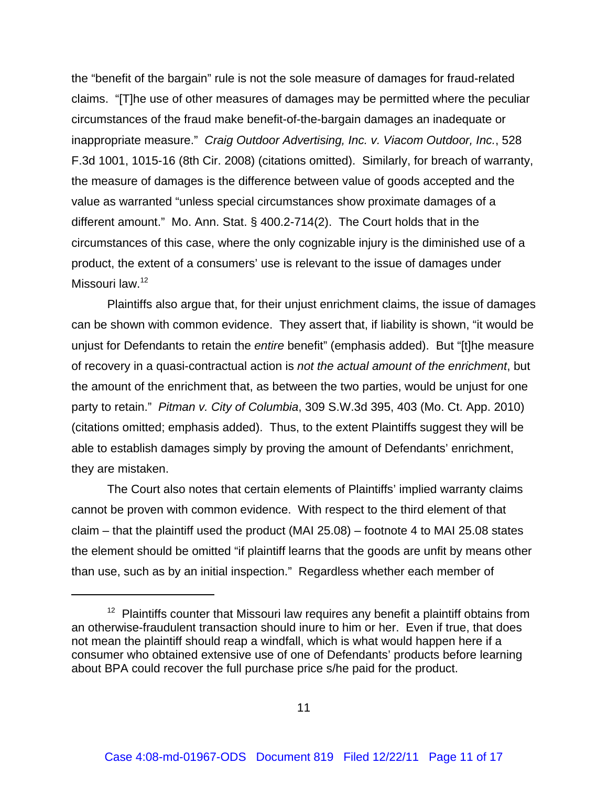the "benefit of the bargain" rule is not the sole measure of damages for fraud-related claims. "[T]he use of other measures of damages may be permitted where the peculiar circumstances of the fraud make benefit-of-the-bargain damages an inadequate or inappropriate measure." *Craig Outdoor Advertising, Inc. v. Viacom Outdoor, Inc.*, 528 F.3d 1001, 1015-16 (8th Cir. 2008) (citations omitted). Similarly, for breach of warranty, the measure of damages is the difference between value of goods accepted and the value as warranted "unless special circumstances show proximate damages of a different amount." Mo. Ann. Stat. § 400.2-714(2). The Court holds that in the circumstances of this case, where the only cognizable injury is the diminished use of a product, the extent of a consumers' use is relevant to the issue of damages under Missouri law.<sup>12</sup>

Plaintiffs also argue that, for their unjust enrichment claims, the issue of damages can be shown with common evidence. They assert that, if liability is shown, "it would be unjust for Defendants to retain the *entire* benefit" (emphasis added). But "[t]he measure of recovery in a quasi-contractual action is *not the actual amount of the enrichment*, but the amount of the enrichment that, as between the two parties, would be unjust for one party to retain." *Pitman v. City of Columbia*, 309 S.W.3d 395, 403 (Mo. Ct. App. 2010) (citations omitted; emphasis added). Thus, to the extent Plaintiffs suggest they will be able to establish damages simply by proving the amount of Defendants' enrichment, they are mistaken.

The Court also notes that certain elements of Plaintiffs' implied warranty claims cannot be proven with common evidence. With respect to the third element of that claim – that the plaintiff used the product (MAI 25.08) – footnote 4 to MAI 25.08 states the element should be omitted "if plaintiff learns that the goods are unfit by means other than use, such as by an initial inspection." Regardless whether each member of

 $12$  Plaintiffs counter that Missouri law requires any benefit a plaintiff obtains from an otherwise-fraudulent transaction should inure to him or her. Even if true, that does not mean the plaintiff should reap a windfall, which is what would happen here if a consumer who obtained extensive use of one of Defendants' products before learning about BPA could recover the full purchase price s/he paid for the product.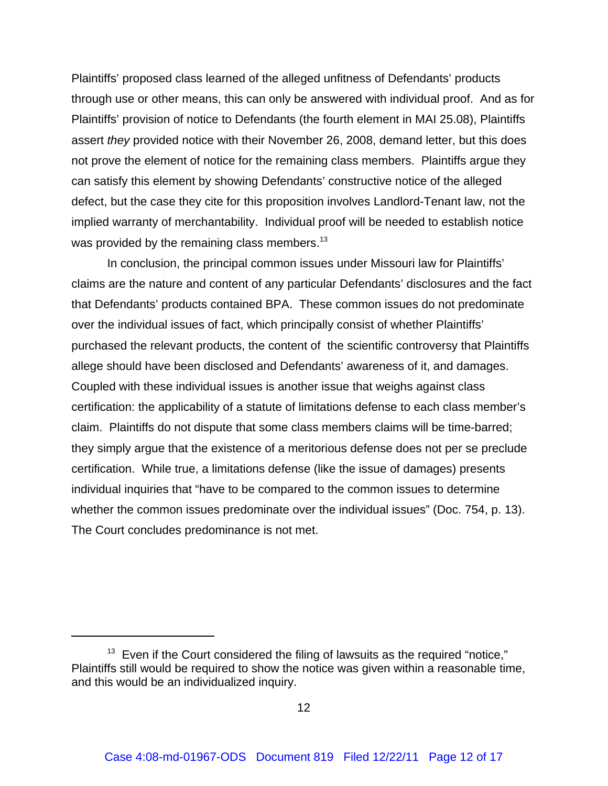Plaintiffs' proposed class learned of the alleged unfitness of Defendants' products through use or other means, this can only be answered with individual proof. And as for Plaintiffs' provision of notice to Defendants (the fourth element in MAI 25.08), Plaintiffs assert *they* provided notice with their November 26, 2008, demand letter, but this does not prove the element of notice for the remaining class members. Plaintiffs argue they can satisfy this element by showing Defendants' constructive notice of the alleged defect, but the case they cite for this proposition involves Landlord-Tenant law, not the implied warranty of merchantability. Individual proof will be needed to establish notice was provided by the remaining class members.<sup>13</sup>

In conclusion, the principal common issues under Missouri law for Plaintiffs' claims are the nature and content of any particular Defendants' disclosures and the fact that Defendants' products contained BPA. These common issues do not predominate over the individual issues of fact, which principally consist of whether Plaintiffs' purchased the relevant products, the content of the scientific controversy that Plaintiffs allege should have been disclosed and Defendants' awareness of it, and damages. Coupled with these individual issues is another issue that weighs against class certification: the applicability of a statute of limitations defense to each class member's claim. Plaintiffs do not dispute that some class members claims will be time-barred; they simply argue that the existence of a meritorious defense does not per se preclude certification. While true, a limitations defense (like the issue of damages) presents individual inquiries that "have to be compared to the common issues to determine whether the common issues predominate over the individual issues" (Doc. 754, p. 13). The Court concludes predominance is not met.

 $13$  Even if the Court considered the filing of lawsuits as the required "notice," Plaintiffs still would be required to show the notice was given within a reasonable time, and this would be an individualized inquiry.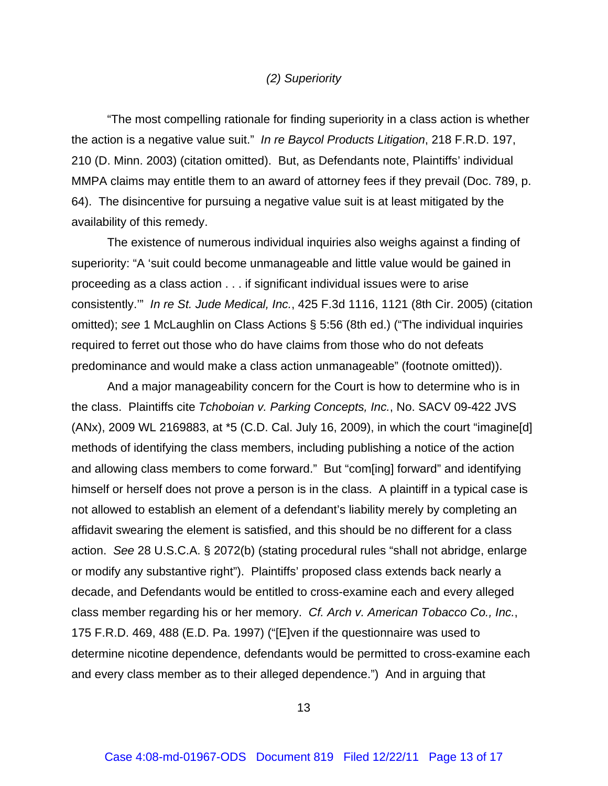#### *(2) Superiority*

"The most compelling rationale for finding superiority in a class action is whether the action is a negative value suit." *In re Baycol Products Litigation*, 218 F.R.D. 197, 210 (D. Minn. 2003) (citation omitted). But, as Defendants note, Plaintiffs' individual MMPA claims may entitle them to an award of attorney fees if they prevail (Doc. 789, p. 64). The disincentive for pursuing a negative value suit is at least mitigated by the availability of this remedy.

The existence of numerous individual inquiries also weighs against a finding of superiority: "A 'suit could become unmanageable and little value would be gained in proceeding as a class action . . . if significant individual issues were to arise consistently.'" *In re St. Jude Medical, Inc.*, 425 F.3d 1116, 1121 (8th Cir. 2005) (citation omitted); *see* 1 McLaughlin on Class Actions § 5:56 (8th ed.) ("The individual inquiries required to ferret out those who do have claims from those who do not defeats predominance and would make a class action unmanageable" (footnote omitted)).

And a major manageability concern for the Court is how to determine who is in the class. Plaintiffs cite *Tchoboian v. Parking Concepts, Inc.*, No. SACV 09-422 JVS (ANx), 2009 WL 2169883, at \*5 (C.D. Cal. July 16, 2009), in which the court "imagine[d] methods of identifying the class members, including publishing a notice of the action and allowing class members to come forward." But "com[ing] forward" and identifying himself or herself does not prove a person is in the class. A plaintiff in a typical case is not allowed to establish an element of a defendant's liability merely by completing an affidavit swearing the element is satisfied, and this should be no different for a class action. *See* 28 U.S.C.A. § 2072(b) (stating procedural rules "shall not abridge, enlarge or modify any substantive right"). Plaintiffs' proposed class extends back nearly a decade, and Defendants would be entitled to cross-examine each and every alleged class member regarding his or her memory. *Cf. Arch v. American Tobacco Co., Inc.*, 175 F.R.D. 469, 488 (E.D. Pa. 1997) ("[E]ven if the questionnaire was used to determine nicotine dependence, defendants would be permitted to cross-examine each and every class member as to their alleged dependence.") And in arguing that

13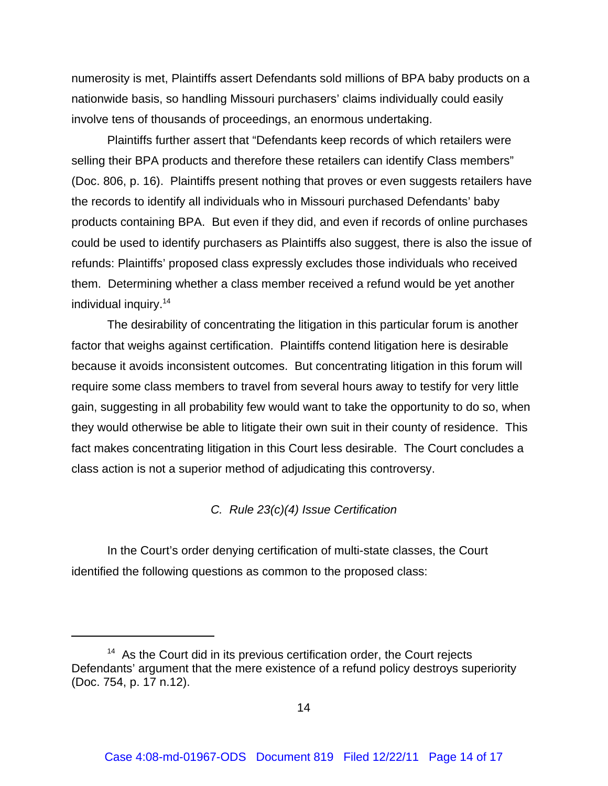numerosity is met, Plaintiffs assert Defendants sold millions of BPA baby products on a nationwide basis, so handling Missouri purchasers' claims individually could easily involve tens of thousands of proceedings, an enormous undertaking.

Plaintiffs further assert that "Defendants keep records of which retailers were selling their BPA products and therefore these retailers can identify Class members" (Doc. 806, p. 16). Plaintiffs present nothing that proves or even suggests retailers have the records to identify all individuals who in Missouri purchased Defendants' baby products containing BPA. But even if they did, and even if records of online purchases could be used to identify purchasers as Plaintiffs also suggest, there is also the issue of refunds: Plaintiffs' proposed class expressly excludes those individuals who received them. Determining whether a class member received a refund would be yet another individual inquiry.<sup>14</sup>

The desirability of concentrating the litigation in this particular forum is another factor that weighs against certification. Plaintiffs contend litigation here is desirable because it avoids inconsistent outcomes. But concentrating litigation in this forum will require some class members to travel from several hours away to testify for very little gain, suggesting in all probability few would want to take the opportunity to do so, when they would otherwise be able to litigate their own suit in their county of residence. This fact makes concentrating litigation in this Court less desirable. The Court concludes a class action is not a superior method of adjudicating this controversy.

*C. Rule 23(c)(4) Issue Certification*

In the Court's order denying certification of multi-state classes, the Court identified the following questions as common to the proposed class:

 $14$  As the Court did in its previous certification order, the Court rejects Defendants' argument that the mere existence of a refund policy destroys superiority (Doc. 754, p. 17 n.12).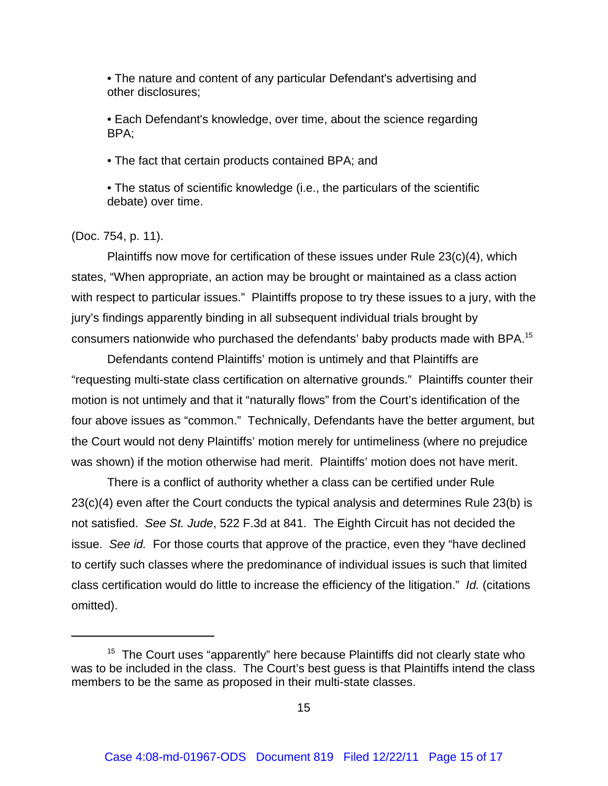• The nature and content of any particular Defendant's advertising and other disclosures;

• Each Defendant's knowledge, over time, about the science regarding BPA;

• The fact that certain products contained BPA; and

• The status of scientific knowledge (i.e., the particulars of the scientific debate) over time.

#### (Doc. 754, p. 11).

Plaintiffs now move for certification of these issues under Rule 23(c)(4), which states, "When appropriate, an action may be brought or maintained as a class action with respect to particular issues." Plaintiffs propose to try these issues to a jury, with the jury's findings apparently binding in all subsequent individual trials brought by consumers nationwide who purchased the defendants' baby products made with BPA.15

Defendants contend Plaintiffs' motion is untimely and that Plaintiffs are "requesting multi-state class certification on alternative grounds." Plaintiffs counter their motion is not untimely and that it "naturally flows" from the Court's identification of the four above issues as "common." Technically, Defendants have the better argument, but the Court would not deny Plaintiffs' motion merely for untimeliness (where no prejudice was shown) if the motion otherwise had merit. Plaintiffs' motion does not have merit.

There is a conflict of authority whether a class can be certified under Rule 23(c)(4) even after the Court conducts the typical analysis and determines Rule 23(b) is not satisfied. *See St. Jude*, 522 F.3d at 841. The Eighth Circuit has not decided the issue. *See id.* For those courts that approve of the practice, even they "have declined to certify such classes where the predominance of individual issues is such that limited class certification would do little to increase the efficiency of the litigation." *Id.* (citations omitted).

 $15$  The Court uses "apparently" here because Plaintiffs did not clearly state who was to be included in the class. The Court's best guess is that Plaintiffs intend the class members to be the same as proposed in their multi-state classes.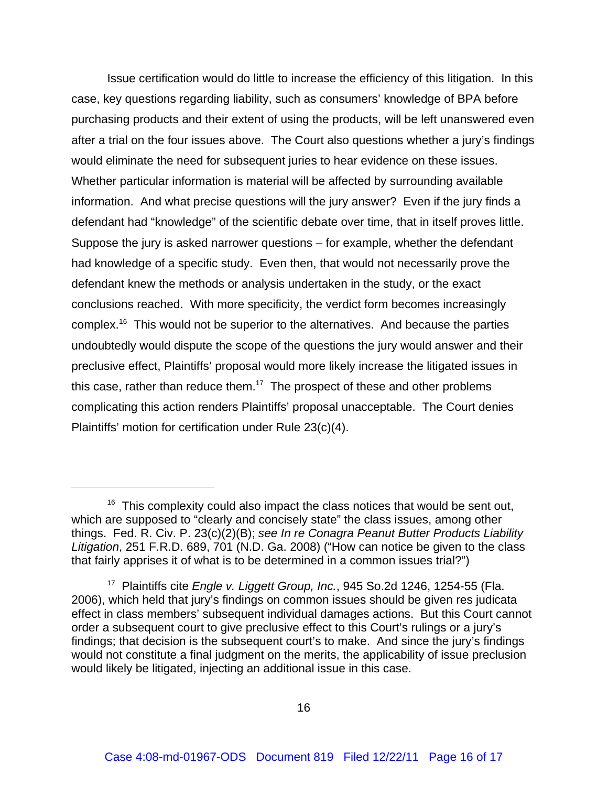Issue certification would do little to increase the efficiency of this litigation. In this case, key questions regarding liability, such as consumers' knowledge of BPA before purchasing products and their extent of using the products, will be left unanswered even after a trial on the four issues above. The Court also questions whether a jury's findings would eliminate the need for subsequent juries to hear evidence on these issues. Whether particular information is material will be affected by surrounding available information. And what precise questions will the jury answer? Even if the jury finds a defendant had "knowledge" of the scientific debate over time, that in itself proves little. Suppose the jury is asked narrower questions – for example, whether the defendant had knowledge of a specific study. Even then, that would not necessarily prove the defendant knew the methods or analysis undertaken in the study, or the exact conclusions reached. With more specificity, the verdict form becomes increasingly complex.16 This would not be superior to the alternatives. And because the parties undoubtedly would dispute the scope of the questions the jury would answer and their preclusive effect, Plaintiffs' proposal would more likely increase the litigated issues in this case, rather than reduce them.<sup>17</sup> The prospect of these and other problems complicating this action renders Plaintiffs' proposal unacceptable. The Court denies Plaintiffs' motion for certification under Rule 23(c)(4).

 $16$  This complexity could also impact the class notices that would be sent out, which are supposed to "clearly and concisely state" the class issues, among other things. Fed. R. Civ. P. 23(c)(2)(B); *see In re Conagra Peanut Butter Products Liability Litigation*, 251 F.R.D. 689, 701 (N.D. Ga. 2008) ("How can notice be given to the class that fairly apprises it of what is to be determined in a common issues trial?")

<sup>17</sup> Plaintiffs cite *Engle v. Liggett Group, Inc.*, 945 So.2d 1246, 1254-55 (Fla. 2006), which held that jury's findings on common issues should be given res judicata effect in class members' subsequent individual damages actions. But this Court cannot order a subsequent court to give preclusive effect to this Court's rulings or a jury's findings; that decision is the subsequent court's to make. And since the jury's findings would not constitute a final judgment on the merits, the applicability of issue preclusion would likely be litigated, injecting an additional issue in this case.